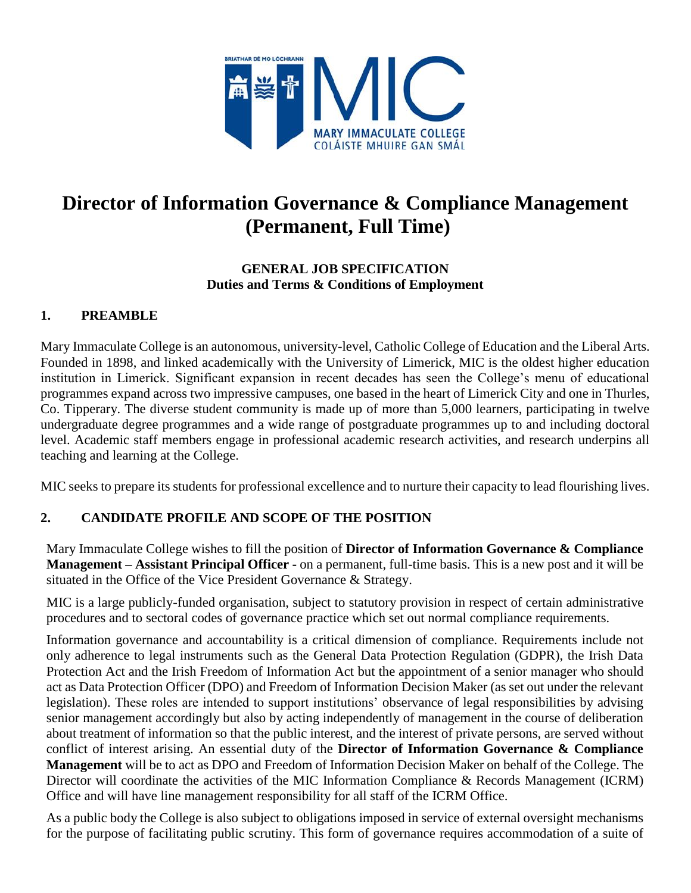

# **Director of Information Governance & Compliance Management (Permanent, Full Time)**

## **GENERAL JOB SPECIFICATION Duties and Terms & Conditions of Employment**

# **1. PREAMBLE**

Mary Immaculate College is an autonomous, university-level, Catholic College of Education and the Liberal Arts. Founded in 1898, and linked academically with the University of Limerick, MIC is the oldest higher education institution in Limerick. Significant expansion in recent decades has seen the College's menu of educational programmes expand across two impressive campuses, one based in the heart of Limerick City and one in Thurles, Co. Tipperary. The diverse student community is made up of more than 5,000 learners, participating in twelve undergraduate degree programmes and a wide range of postgraduate programmes up to and including doctoral level. Academic staff members engage in professional academic research activities, and research underpins all teaching and learning at the College.

MIC seeks to prepare its students for professional excellence and to nurture their capacity to lead flourishing lives.

# **2. CANDIDATE PROFILE AND SCOPE OF THE POSITION**

Mary Immaculate College wishes to fill the position of **Director of Information Governance & Compliance Management – Assistant Principal Officer -** on a permanent, full-time basis. This is a new post and it will be situated in the Office of the Vice President Governance & Strategy.

MIC is a large publicly-funded organisation, subject to statutory provision in respect of certain administrative procedures and to sectoral codes of governance practice which set out normal compliance requirements.

Information governance and accountability is a critical dimension of compliance. Requirements include not only adherence to legal instruments such as the General Data Protection Regulation (GDPR), the Irish Data Protection Act and the Irish Freedom of Information Act but the appointment of a senior manager who should act as Data Protection Officer (DPO) and Freedom of Information Decision Maker (as set out under the relevant legislation). These roles are intended to support institutions' observance of legal responsibilities by advising senior management accordingly but also by acting independently of management in the course of deliberation about treatment of information so that the public interest, and the interest of private persons, are served without conflict of interest arising. An essential duty of the **Director of Information Governance & Compliance Management** will be to act as DPO and Freedom of Information Decision Maker on behalf of the College. The Director will coordinate the activities of the MIC Information Compliance & Records Management (ICRM) Office and will have line management responsibility for all staff of the ICRM Office.

As a public body the College is also subject to obligations imposed in service of external oversight mechanisms for the purpose of facilitating public scrutiny. This form of governance requires accommodation of a suite of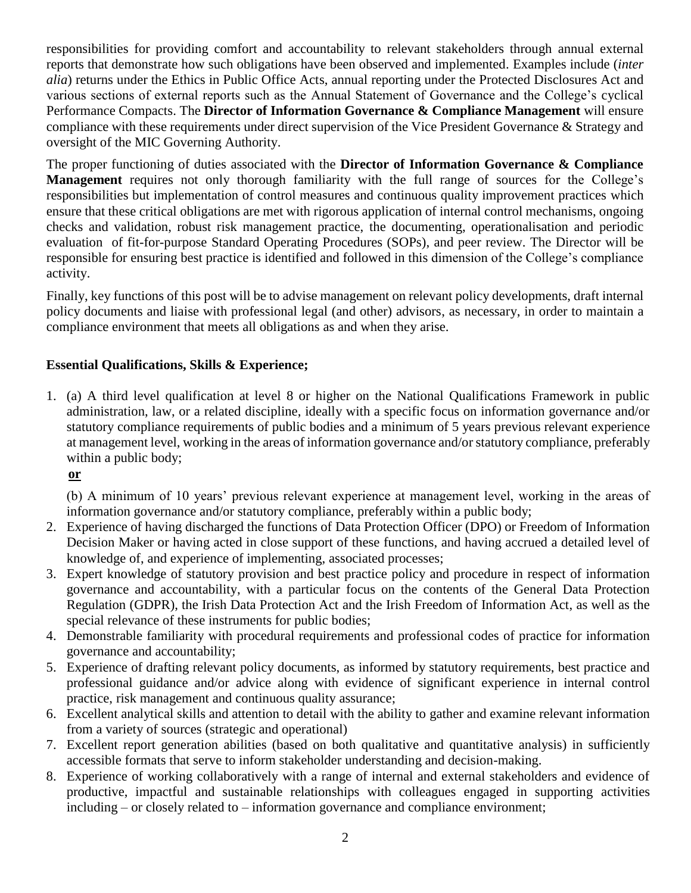responsibilities for providing comfort and accountability to relevant stakeholders through annual external reports that demonstrate how such obligations have been observed and implemented. Examples include (*inter alia*) returns under the Ethics in Public Office Acts, annual reporting under the Protected Disclosures Act and various sections of external reports such as the Annual Statement of Governance and the College's cyclical Performance Compacts. The **Director of Information Governance & Compliance Management** will ensure compliance with these requirements under direct supervision of the Vice President Governance & Strategy and oversight of the MIC Governing Authority.

The proper functioning of duties associated with the **Director of Information Governance & Compliance Management** requires not only thorough familiarity with the full range of sources for the College's responsibilities but implementation of control measures and continuous quality improvement practices which ensure that these critical obligations are met with rigorous application of internal control mechanisms, ongoing checks and validation, robust risk management practice, the documenting, operationalisation and periodic evaluation of fit-for-purpose Standard Operating Procedures (SOPs), and peer review. The Director will be responsible for ensuring best practice is identified and followed in this dimension of the College's compliance activity.

Finally, key functions of this post will be to advise management on relevant policy developments, draft internal policy documents and liaise with professional legal (and other) advisors, as necessary, in order to maintain a compliance environment that meets all obligations as and when they arise.

# **Essential Qualifications, Skills & Experience;**

1. (a) A third level qualification at level 8 or higher on the National Qualifications Framework in public administration, law, or a related discipline, ideally with a specific focus on information governance and/or statutory compliance requirements of public bodies and a minimum of 5 years previous relevant experience at management level, working in the areas of information governance and/or statutory compliance, preferably within a public body;

**or**

(b) A minimum of 10 years' previous relevant experience at management level, working in the areas of information governance and/or statutory compliance, preferably within a public body;

- 2. Experience of having discharged the functions of Data Protection Officer (DPO) or Freedom of Information Decision Maker or having acted in close support of these functions, and having accrued a detailed level of knowledge of, and experience of implementing, associated processes;
- 3. Expert knowledge of statutory provision and best practice policy and procedure in respect of information governance and accountability, with a particular focus on the contents of the General Data Protection Regulation (GDPR), the Irish Data Protection Act and the Irish Freedom of Information Act, as well as the special relevance of these instruments for public bodies;
- 4. Demonstrable familiarity with procedural requirements and professional codes of practice for information governance and accountability;
- 5. Experience of drafting relevant policy documents, as informed by statutory requirements, best practice and professional guidance and/or advice along with evidence of significant experience in internal control practice, risk management and continuous quality assurance;
- 6. Excellent analytical skills and attention to detail with the ability to gather and examine relevant information from a variety of sources (strategic and operational)
- 7. Excellent report generation abilities (based on both qualitative and quantitative analysis) in sufficiently accessible formats that serve to inform stakeholder understanding and decision-making.
- 8. Experience of working collaboratively with a range of internal and external stakeholders and evidence of productive, impactful and sustainable relationships with colleagues engaged in supporting activities including – or closely related to – information governance and compliance environment;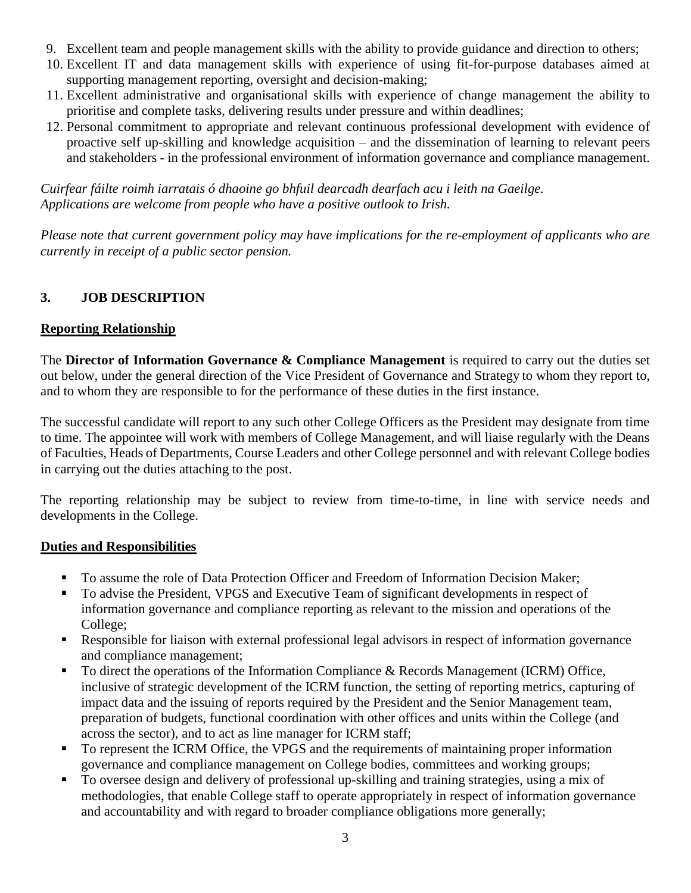- 9. Excellent team and people management skills with the ability to provide guidance and direction to others;
- 10. Excellent IT and data management skills with experience of using fit-for-purpose databases aimed at supporting management reporting, oversight and decision-making;
- 11. Excellent administrative and organisational skills with experience of change management the ability to prioritise and complete tasks, delivering results under pressure and within deadlines;
- 12. Personal commitment to appropriate and relevant continuous professional development with evidence of proactive self up-skilling and knowledge acquisition – and the dissemination of learning to relevant peers and stakeholders - in the professional environment of information governance and compliance management.

*Cuirfear fáilte roimh iarratais ó dhaoine go bhfuil dearcadh dearfach acu i leith na Gaeilge. Applications are welcome from people who have a positive outlook to Irish.*

*Please note that current government policy may have implications for the re-employment of applicants who are currently in receipt of a public sector pension.*

# **3. JOB DESCRIPTION**

# **Reporting Relationship**

The **Director of Information Governance & Compliance Management** is required to carry out the duties set out below, under the general direction of the Vice President of Governance and Strategy to whom they report to, and to whom they are responsible to for the performance of these duties in the first instance.

The successful candidate will report to any such other College Officers as the President may designate from time to time. The appointee will work with members of College Management, and will liaise regularly with the Deans of Faculties, Heads of Departments, Course Leaders and other College personnel and with relevant College bodies in carrying out the duties attaching to the post.

The reporting relationship may be subject to review from time-to-time, in line with service needs and developments in the College.

# **Duties and Responsibilities**

- To assume the role of Data Protection Officer and Freedom of Information Decision Maker;
- To advise the President, VPGS and Executive Team of significant developments in respect of information governance and compliance reporting as relevant to the mission and operations of the College;
- Responsible for liaison with external professional legal advisors in respect of information governance and compliance management;
- To direct the operations of the Information Compliance & Records Management (ICRM) Office, inclusive of strategic development of the ICRM function, the setting of reporting metrics, capturing of impact data and the issuing of reports required by the President and the Senior Management team, preparation of budgets, functional coordination with other offices and units within the College (and across the sector), and to act as line manager for ICRM staff;
- To represent the ICRM Office, the VPGS and the requirements of maintaining proper information governance and compliance management on College bodies, committees and working groups;
- To oversee design and delivery of professional up-skilling and training strategies, using a mix of methodologies, that enable College staff to operate appropriately in respect of information governance and accountability and with regard to broader compliance obligations more generally;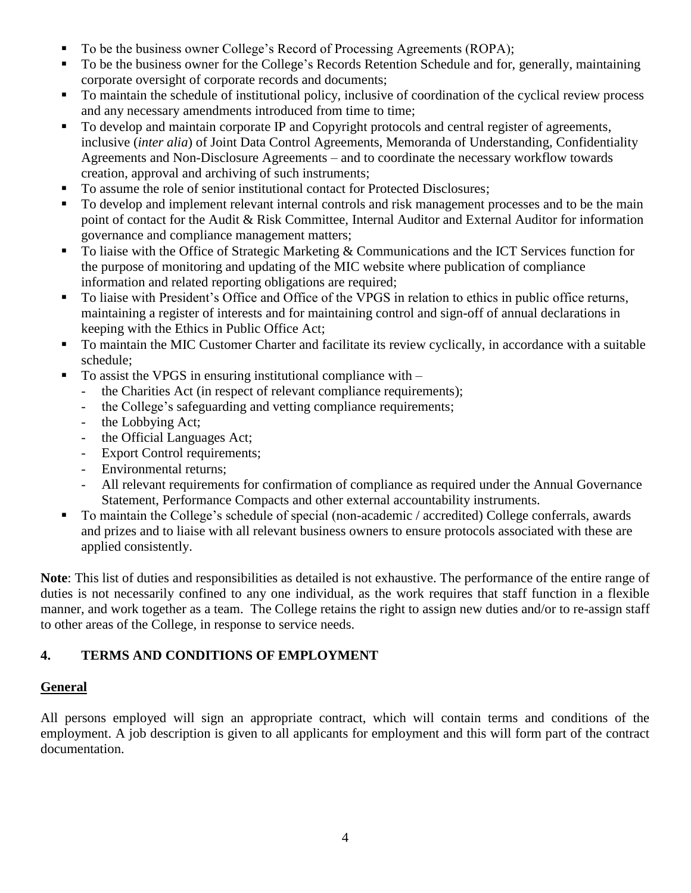- To be the business owner College's Record of Processing Agreements (ROPA);
- To be the business owner for the College's Records Retention Schedule and for, generally, maintaining corporate oversight of corporate records and documents;
- To maintain the schedule of institutional policy, inclusive of coordination of the cyclical review process and any necessary amendments introduced from time to time;
- To develop and maintain corporate IP and Copyright protocols and central register of agreements, inclusive (*inter alia*) of Joint Data Control Agreements, Memoranda of Understanding, Confidentiality Agreements and Non-Disclosure Agreements – and to coordinate the necessary workflow towards creation, approval and archiving of such instruments;
- To assume the role of senior institutional contact for Protected Disclosures;
- To develop and implement relevant internal controls and risk management processes and to be the main point of contact for the Audit & Risk Committee, Internal Auditor and External Auditor for information governance and compliance management matters;
- To liaise with the Office of Strategic Marketing & Communications and the ICT Services function for the purpose of monitoring and updating of the MIC website where publication of compliance information and related reporting obligations are required;
- To liaise with President's Office and Office of the VPGS in relation to ethics in public office returns, maintaining a register of interests and for maintaining control and sign-off of annual declarations in keeping with the Ethics in Public Office Act;
- To maintain the MIC Customer Charter and facilitate its review cyclically, in accordance with a suitable schedule;
- To assist the VPGS in ensuring institutional compliance with  $$ 
	- the Charities Act (in respect of relevant compliance requirements);
	- the College's safeguarding and vetting compliance requirements;
	- the Lobbying Act;
	- the Official Languages Act;
	- Export Control requirements;
	- Environmental returns;
	- All relevant requirements for confirmation of compliance as required under the Annual Governance Statement, Performance Compacts and other external accountability instruments.
- To maintain the College's schedule of special (non-academic / accredited) College conferrals, awards and prizes and to liaise with all relevant business owners to ensure protocols associated with these are applied consistently.

**Note**: This list of duties and responsibilities as detailed is not exhaustive. The performance of the entire range of duties is not necessarily confined to any one individual, as the work requires that staff function in a flexible manner, and work together as a team. The College retains the right to assign new duties and/or to re-assign staff to other areas of the College, in response to service needs.

# **4. TERMS AND CONDITIONS OF EMPLOYMENT**

# **General**

All persons employed will sign an appropriate contract, which will contain terms and conditions of the employment. A job description is given to all applicants for employment and this will form part of the contract documentation.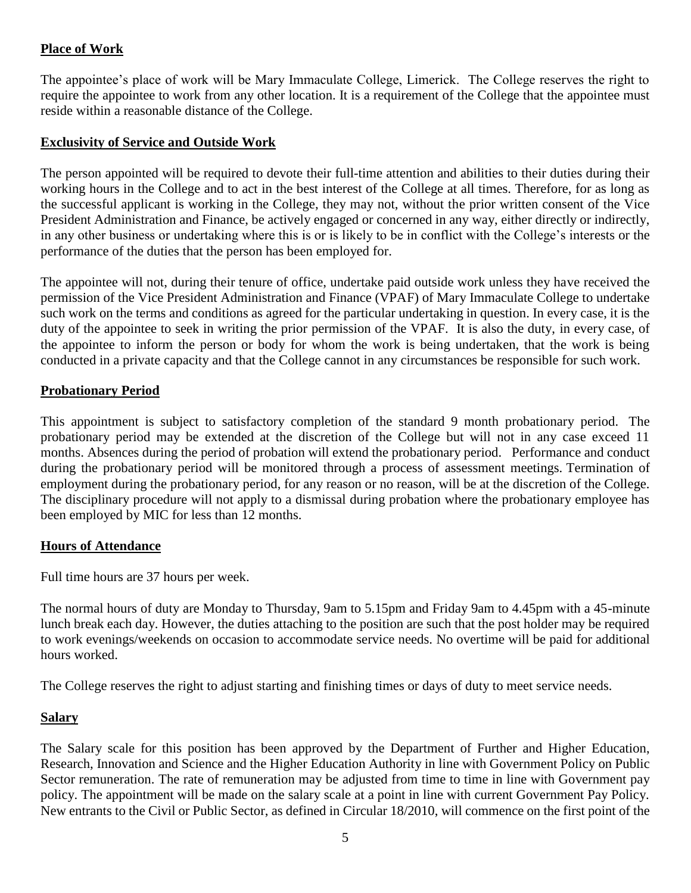# **Place of Work**

The appointee's place of work will be Mary Immaculate College, Limerick. The College reserves the right to require the appointee to work from any other location. It is a requirement of the College that the appointee must reside within a reasonable distance of the College.

#### **Exclusivity of Service and Outside Work**

The person appointed will be required to devote their full-time attention and abilities to their duties during their working hours in the College and to act in the best interest of the College at all times. Therefore, for as long as the successful applicant is working in the College, they may not, without the prior written consent of the Vice President Administration and Finance, be actively engaged or concerned in any way, either directly or indirectly, in any other business or undertaking where this is or is likely to be in conflict with the College's interests or the performance of the duties that the person has been employed for.

The appointee will not, during their tenure of office, undertake paid outside work unless they have received the permission of the Vice President Administration and Finance (VPAF) of Mary Immaculate College to undertake such work on the terms and conditions as agreed for the particular undertaking in question. In every case, it is the duty of the appointee to seek in writing the prior permission of the VPAF. It is also the duty, in every case, of the appointee to inform the person or body for whom the work is being undertaken, that the work is being conducted in a private capacity and that the College cannot in any circumstances be responsible for such work.

#### **Probationary Period**

This appointment is subject to satisfactory completion of the standard 9 month probationary period. The probationary period may be extended at the discretion of the College but will not in any case exceed 11 months. Absences during the period of probation will extend the probationary period. Performance and conduct during the probationary period will be monitored through a process of assessment meetings. Termination of employment during the probationary period, for any reason or no reason, will be at the discretion of the College. The disciplinary procedure will not apply to a dismissal during probation where the probationary employee has been employed by MIC for less than 12 months.

#### **Hours of Attendance**

Full time hours are 37 hours per week.

The normal hours of duty are Monday to Thursday, 9am to 5.15pm and Friday 9am to 4.45pm with a 45-minute lunch break each day. However, the duties attaching to the position are such that the post holder may be required to work evenings/weekends on occasion to accommodate service needs. No overtime will be paid for additional hours worked.

The College reserves the right to adjust starting and finishing times or days of duty to meet service needs.

#### **Salary**

The Salary scale for this position has been approved by the Department of Further and Higher Education, Research, Innovation and Science and the Higher Education Authority in line with Government Policy on Public Sector remuneration. The rate of remuneration may be adjusted from time to time in line with Government pay policy. The appointment will be made on the salary scale at a point in line with current Government Pay Policy. New entrants to the Civil or Public Sector, as defined in Circular 18/2010, will commence on the first point of the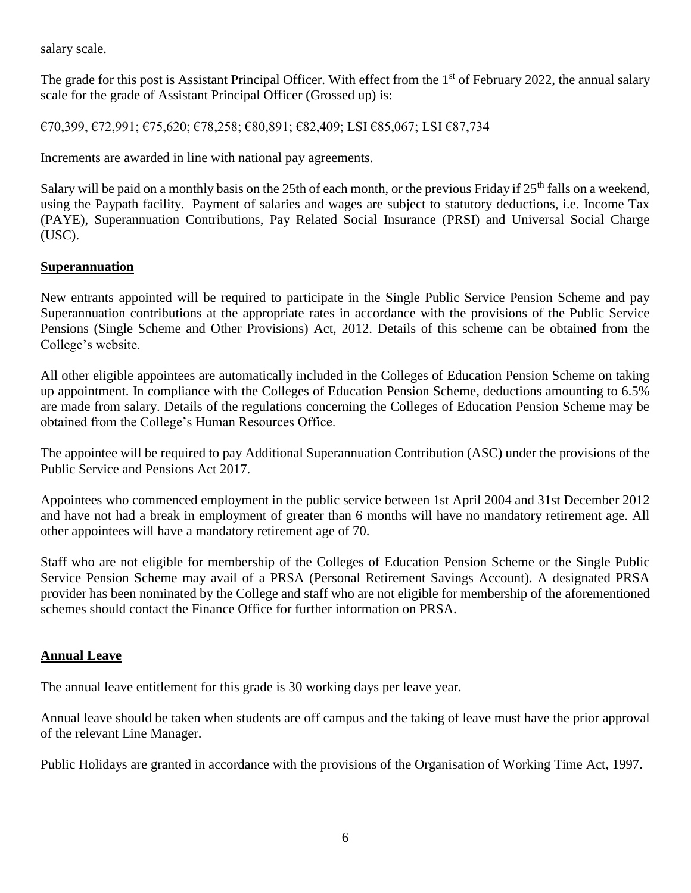salary scale.

The grade for this post is Assistant Principal Officer. With effect from the 1<sup>st</sup> of February 2022, the annual salary scale for the grade of Assistant Principal Officer (Grossed up) is:

€70,399, €72,991; €75,620; €78,258; €80,891; €82,409; LSI €85,067; LSI €87,734

Increments are awarded in line with national pay agreements.

Salary will be paid on a monthly basis on the 25th of each month, or the previous Friday if  $25<sup>th</sup>$  falls on a weekend, using the Paypath facility. Payment of salaries and wages are subject to statutory deductions, i.e. Income Tax (PAYE), Superannuation Contributions, Pay Related Social Insurance (PRSI) and Universal Social Charge (USC).

#### **Superannuation**

New entrants appointed will be required to participate in the Single Public Service Pension Scheme and pay Superannuation contributions at the appropriate rates in accordance with the provisions of the Public Service Pensions (Single Scheme and Other Provisions) Act, 2012. Details of this scheme can be obtained from the College's website.

All other eligible appointees are automatically included in the Colleges of Education Pension Scheme on taking up appointment. In compliance with the Colleges of Education Pension Scheme, deductions amounting to 6.5% are made from salary. Details of the regulations concerning the Colleges of Education Pension Scheme may be obtained from the College's Human Resources Office.

The appointee will be required to pay Additional Superannuation Contribution (ASC) under the provisions of the Public Service and Pensions Act 2017.

Appointees who commenced employment in the public service between 1st April 2004 and 31st December 2012 and have not had a break in employment of greater than 6 months will have no mandatory retirement age. All other appointees will have a mandatory retirement age of 70.

Staff who are not eligible for membership of the Colleges of Education Pension Scheme or the Single Public Service Pension Scheme may avail of a PRSA (Personal Retirement Savings Account). A designated PRSA provider has been nominated by the College and staff who are not eligible for membership of the aforementioned schemes should contact the Finance Office for further information on PRSA.

#### **Annual Leave**

The annual leave entitlement for this grade is 30 working days per leave year.

Annual leave should be taken when students are off campus and the taking of leave must have the prior approval of the relevant Line Manager.

Public Holidays are granted in accordance with the provisions of the Organisation of Working Time Act, 1997.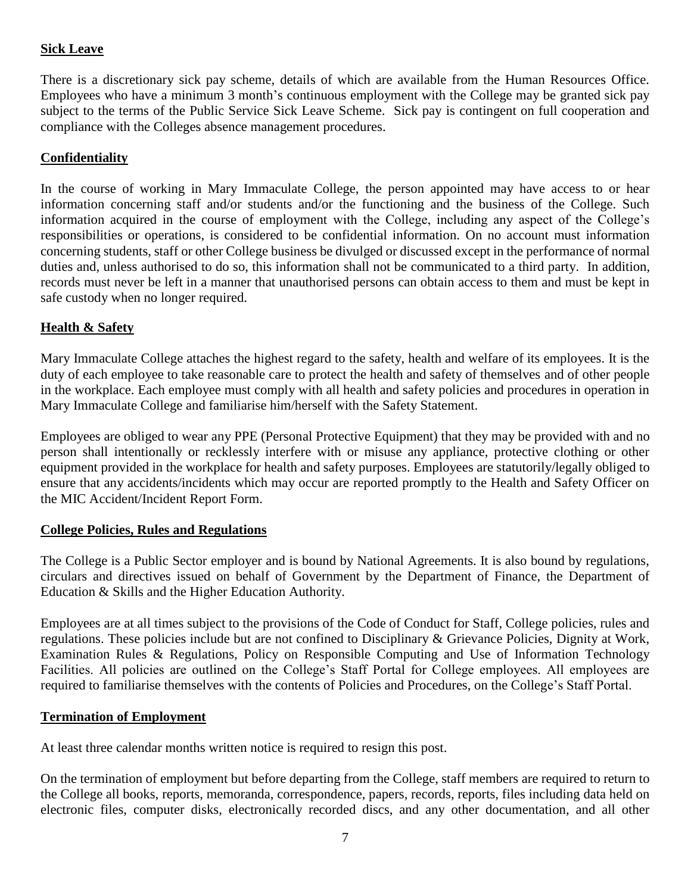# **Sick Leave**

There is a discretionary sick pay scheme, details of which are available from the Human Resources Office. Employees who have a minimum 3 month's continuous employment with the College may be granted sick pay subject to the terms of the Public Service Sick Leave Scheme. Sick pay is contingent on full cooperation and compliance with the Colleges absence management procedures.

### **Confidentiality**

In the course of working in Mary Immaculate College, the person appointed may have access to or hear information concerning staff and/or students and/or the functioning and the business of the College. Such information acquired in the course of employment with the College, including any aspect of the College's responsibilities or operations, is considered to be confidential information. On no account must information concerning students, staff or other College business be divulged or discussed except in the performance of normal duties and, unless authorised to do so, this information shall not be communicated to a third party. In addition, records must never be left in a manner that unauthorised persons can obtain access to them and must be kept in safe custody when no longer required.

#### **Health & Safety**

Mary Immaculate College attaches the highest regard to the safety, health and welfare of its employees. It is the duty of each employee to take reasonable care to protect the health and safety of themselves and of other people in the workplace. Each employee must comply with all health and safety policies and procedures in operation in Mary Immaculate College and familiarise him/herself with the Safety Statement.

Employees are obliged to wear any PPE (Personal Protective Equipment) that they may be provided with and no person shall intentionally or recklessly interfere with or misuse any appliance, protective clothing or other equipment provided in the workplace for health and safety purposes. Employees are statutorily/legally obliged to ensure that any accidents/incidents which may occur are reported promptly to the Health and Safety Officer on the MIC Accident/Incident Report Form.

#### **College Policies, Rules and Regulations**

The College is a Public Sector employer and is bound by National Agreements. It is also bound by regulations, circulars and directives issued on behalf of Government by the Department of Finance, the Department of Education & Skills and the Higher Education Authority.

Employees are at all times subject to the provisions of the Code of Conduct for Staff, College policies, rules and regulations. These policies include but are not confined to Disciplinary & Grievance Policies, Dignity at Work, Examination Rules & Regulations, Policy on Responsible Computing and Use of Information Technology Facilities. All policies are outlined on the College's Staff Portal for College employees. All employees are required to familiarise themselves with the contents of Policies and Procedures, on the College's Staff Portal.

#### **Termination of Employment**

At least three calendar months written notice is required to resign this post.

On the termination of employment but before departing from the College, staff members are required to return to the College all books, reports, memoranda, correspondence, papers, records, reports, files including data held on electronic files, computer disks, electronically recorded discs, and any other documentation, and all other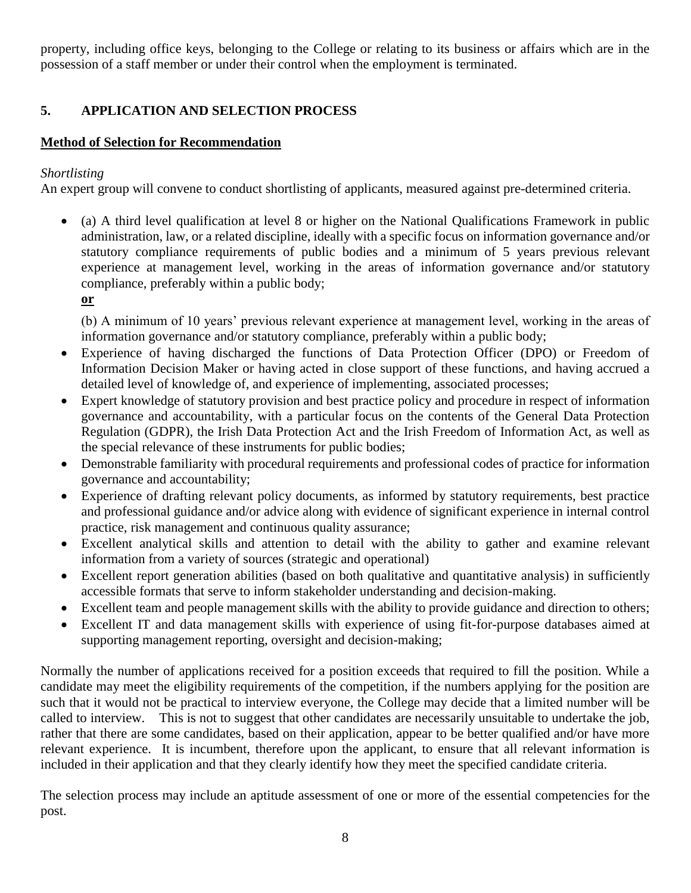property, including office keys, belonging to the College or relating to its business or affairs which are in the possession of a staff member or under their control when the employment is terminated.

# **5. APPLICATION AND SELECTION PROCESS**

# **Method of Selection for Recommendation**

# *Shortlisting*

An expert group will convene to conduct shortlisting of applicants, measured against pre-determined criteria.

- (a) A third level qualification at level 8 or higher on the National Qualifications Framework in public administration, law, or a related discipline, ideally with a specific focus on information governance and/or statutory compliance requirements of public bodies and a minimum of 5 years previous relevant experience at management level, working in the areas of information governance and/or statutory compliance, preferably within a public body;
	- **or**

(b) A minimum of 10 years' previous relevant experience at management level, working in the areas of information governance and/or statutory compliance, preferably within a public body;

- Experience of having discharged the functions of Data Protection Officer (DPO) or Freedom of Information Decision Maker or having acted in close support of these functions, and having accrued a detailed level of knowledge of, and experience of implementing, associated processes;
- Expert knowledge of statutory provision and best practice policy and procedure in respect of information governance and accountability, with a particular focus on the contents of the General Data Protection Regulation (GDPR), the Irish Data Protection Act and the Irish Freedom of Information Act, as well as the special relevance of these instruments for public bodies;
- Demonstrable familiarity with procedural requirements and professional codes of practice for information governance and accountability;
- Experience of drafting relevant policy documents, as informed by statutory requirements, best practice and professional guidance and/or advice along with evidence of significant experience in internal control practice, risk management and continuous quality assurance;
- Excellent analytical skills and attention to detail with the ability to gather and examine relevant information from a variety of sources (strategic and operational)
- Excellent report generation abilities (based on both qualitative and quantitative analysis) in sufficiently accessible formats that serve to inform stakeholder understanding and decision-making.
- Excellent team and people management skills with the ability to provide guidance and direction to others;
- Excellent IT and data management skills with experience of using fit-for-purpose databases aimed at supporting management reporting, oversight and decision-making;

Normally the number of applications received for a position exceeds that required to fill the position. While a candidate may meet the eligibility requirements of the competition, if the numbers applying for the position are such that it would not be practical to interview everyone, the College may decide that a limited number will be called to interview. This is not to suggest that other candidates are necessarily unsuitable to undertake the job, rather that there are some candidates, based on their application, appear to be better qualified and/or have more relevant experience. It is incumbent, therefore upon the applicant, to ensure that all relevant information is included in their application and that they clearly identify how they meet the specified candidate criteria.

The selection process may include an aptitude assessment of one or more of the essential competencies for the post.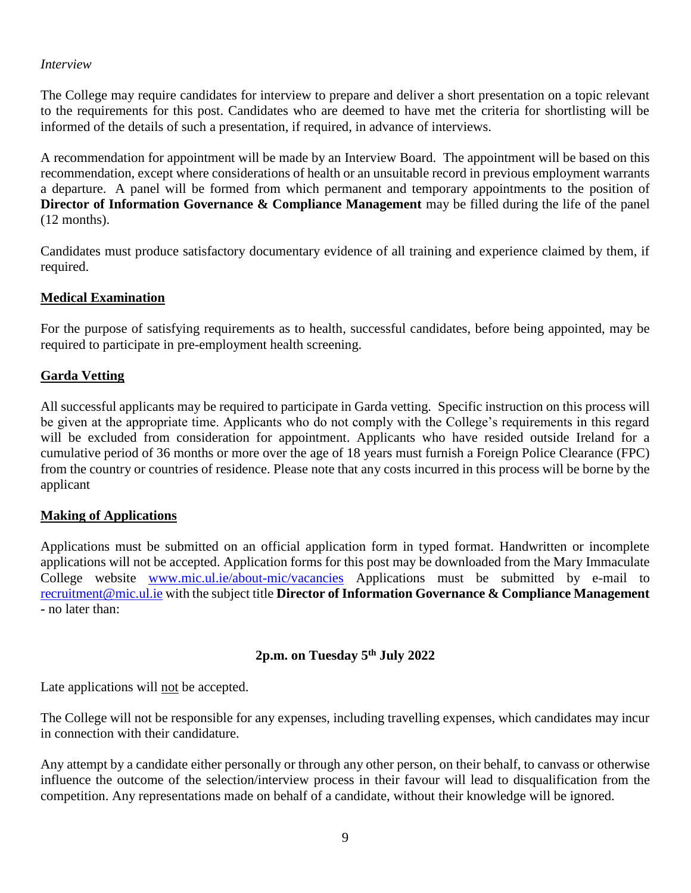#### *Interview*

The College may require candidates for interview to prepare and deliver a short presentation on a topic relevant to the requirements for this post. Candidates who are deemed to have met the criteria for shortlisting will be informed of the details of such a presentation, if required, in advance of interviews.

A recommendation for appointment will be made by an Interview Board. The appointment will be based on this recommendation, except where considerations of health or an unsuitable record in previous employment warrants a departure. A panel will be formed from which permanent and temporary appointments to the position of **Director of Information Governance & Compliance Management** may be filled during the life of the panel (12 months).

Candidates must produce satisfactory documentary evidence of all training and experience claimed by them, if required.

### **Medical Examination**

For the purpose of satisfying requirements as to health, successful candidates, before being appointed, may be required to participate in pre-employment health screening.

## **Garda Vetting**

All successful applicants may be required to participate in Garda vetting. Specific instruction on this process will be given at the appropriate time. Applicants who do not comply with the College's requirements in this regard will be excluded from consideration for appointment. Applicants who have resided outside Ireland for a cumulative period of 36 months or more over the age of 18 years must furnish a Foreign Police Clearance (FPC) from the country or countries of residence. Please note that any costs incurred in this process will be borne by the applicant

### **Making of Applications**

Applications must be submitted on an official application form in typed format. Handwritten or incomplete applications will not be accepted. Application forms for this post may be downloaded from the Mary Immaculate College website [www.mic.ul.ie/about-mic/vacancies](http://www.mic.ul.ie/about-mic/vacancies) Applications must be submitted by e-mail to [recruitment@mic.ul.ie](mailto:recruitment@mic.ul.ie) with the subject title **Director of Information Governance & Compliance Management -** no later than:

### **2p.m. on Tuesday 5 th July 2022**

Late applications will not be accepted.

The College will not be responsible for any expenses, including travelling expenses, which candidates may incur in connection with their candidature.

Any attempt by a candidate either personally or through any other person, on their behalf, to canvass or otherwise influence the outcome of the selection/interview process in their favour will lead to disqualification from the competition. Any representations made on behalf of a candidate, without their knowledge will be ignored.